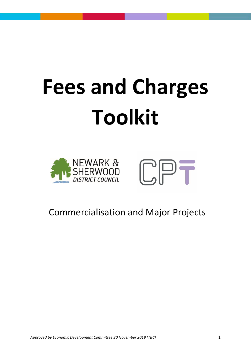# **Fees and Charges Toolkit**





# Commercialisation and Major Projects

*Approved by Economic Development Committee 20 November 2019 (TBC)* 1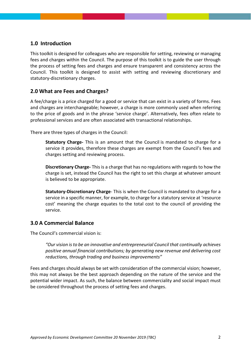### **1.0 Introduction**

This toolkit is designed for colleagues who are responsible for setting, reviewing or managing fees and charges within the Council. The purpose of this toolkit is to guide the user through the process of setting fees and charges and ensure transparent and consistency across the Council. This toolkit is designed to assist with setting and reviewing discretionary and statutory-discretionary charges.

# **2.0 What are Fees and Charges?**

A fee/charge is a price charged for a good or service that can exist in a variety of forms. Fees and charges are interchangeable; however, a charge is more commonly used when referring to the price of goods and in the phrase 'service charge'. Alternatively, fees often relate to professional services and are often associated with transactional relationships.

There are three types of charges in the Council:

**Statutory Charge-** This is an amount that the Council is mandated to charge for a service it provides, therefore these charges are exempt from the Council's fees and charges setting and reviewing process.

**Discretionary Charge-** This is a charge that has no regulations with regards to how the charge is set, instead the Council has the right to set this charge at whatever amount is believed to be appropriate.

**Statutory-Discretionary Charge**- This is when the Council is mandated to charge for a service in a specific manner, for example, to charge for a statutory service at 'resource cost' meaning the charge equates to the total cost to the council of providing the service.

#### **3.0 A Commercial Balance**

The Council's commercial vision is:

"Our vision is to be an innovative and entrepreneurial Council that continually achieves *positive annual financial contributions; by generating new revenue and delivering cost reductions, through trading and business improvements"*

Fees and charges should always be set with consideration of the commercial vision; however, this may not always be the best approach depending on the nature of the service and the potential wider impact. As such, the balance between commerciality and social impact must be considered throughout the process of setting fees and charges.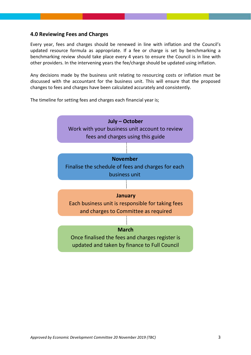#### **4.0 Reviewing Fees and Charges**

Every year, fees and charges should be renewed in line with inflation and the Council's updated resource formula as appropriate. If a fee or charge is set by benchmarking a benchmarking review should take place every 4 years to ensure the Council is in line with other providers. In the intervening years the fee/charge should be updated using inflation.

Any decisions made by the business unit relating to resourcing costs or inflation must be discussed with the accountant for the business unit. This will ensure that the proposed changes to fees and charges have been calculated accurately and consistently.

The timeline for setting fees and charges each financial year is;

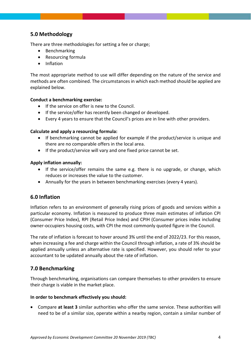# **5.0 Methodology**

There are three methodologies for setting a fee or charge;

- Benchmarking
- Resourcing formula
- Inflation

The most appropriate method to use will differ depending on the nature of the service and methods are often combined. The circumstances in which each method should be applied are explained below.

#### **Conduct a benchmarking exercise:**

- If the service on offer is new to the Council.
- If the service/offer has recently been changed or developed.
- Every 4 years to ensure that the Council's prices are in line with other providers.

#### **Calculate and apply a resourcing formula:**

- If benchmarking cannot be applied for example if the product/service is unique and there are no comparable offers in the local area.
- If the product/service will vary and one fixed price cannot be set.

#### **Apply inflation annually:**

- If the service/offer remains the same e.g. there is no upgrade, or change, which reduces or increases the value to the customer.
- Annually for the years in between benchmarking exercises (every 4 years).

# **6.0 Inflation**

Inflation refers to an environment of generally rising prices of goods and services within a particular economy. Inflation is measured to produce three main estimates of inflation CPI (Consumer Price Index), RPI (Retail Price Index) and CPIH (Consumer prices index including owner-occupiers housing costs, with CPI the most commonly quoted figure in the Council.

The rate of inflation is forecast to hover around 3% until the end of 2022/23. For this reason, when increasing a fee and charge within the Council through inflation, a rate of 3% should be applied annually unless an alternative rate is specified. However, you should refer to your accountant to be updated annually about the rate of inflation.

# **7.0 Benchmarking**

Through benchmarking, organisations can compare themselves to other providers to ensure their charge is viable in the market place.

#### **In order to benchmark effectively you should:**

 Compare **at least 3** similar authorities who offer the same service. These authorities will need to be of a similar size, operate within a nearby region, contain a similar number of